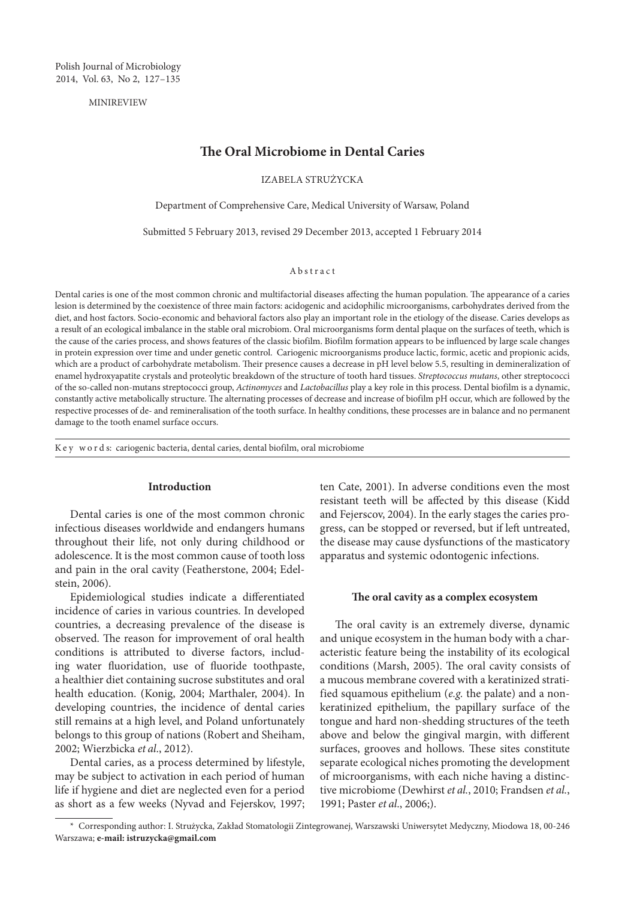MINIREVIEW

# **The Oral Microbiome in Dental Caries**

IZABELA STRUŻYCKA

Department of Comprehensive Care, Medical University of Warsaw, Poland

Submitted 5 February 2013, revised 29 December 2013, accepted 1 February 2014

#### Abstract

Dental caries is one of the most common chronic and multifactorial diseases affecting the human population. The appearance of a caries lesion is determined by the coexistence of three main factors: acidogenic and acidophilic microorganisms, carbohydrates derived from the diet, and host factors. Socio-economic and behavioral factors also play an important role in the etiology of the disease. Caries develops as a result of an ecological imbalance in the stable oral microbiom. Oral microorganisms form dental plaque on the surfaces of teeth, which is the cause of the caries process, and shows features of the classic biofilm. Biofilm formation appears to be influenced by large scale changes in protein expression over time and under genetic control. Cariogenic microorganisms produce lactic, formic, acetic and propionic acids, which are a product of carbohydrate metabolism. Their presence causes a decrease in pH level below 5.5, resulting in demineralization of enamel hydroxyapatite crystals and proteolytic breakdown of the structure of tooth hard tissues. *Streptococcus mutans*, other streptococci of the so-called non-mutans streptococci group, *Actinomyces* and *Lactobacillus* play a key role in this process. Dental biofilm is a dynamic, constantly active metabolically structure. The alternating processes of decrease and increase of biofilm pH occur, which are followed by the respective processes of de- and remineralisation of the tooth surface. In healthy conditions, these processes are in balance and no permanent damage to the tooth enamel surface occurs.

K e y w o r d s: cariogenic bacteria, dental caries, dental biofilm, oral microbiome

# **Introduction**

Dental caries is one of the most common chronic infectious diseases worldwide and endangers humans throughout their life, not only during childhood or adolescence. It is the most common cause of tooth loss and pain in the oral cavity (Featherstone, 2004; Edelstein, 2006).

Epidemiological studies indicate a differentiated incidence of caries in various countries. In developed countries, a decreasing prevalence of the disease is observed. The reason for improvement of oral health conditions is attributed to diverse factors, including water fluoridation, use of fluoride toothpaste, a healthier diet containing sucrose substitutes and oral health education. (Konig, 2004; Marthaler, 2004). In developing countries, the incidence of dental caries still remains at a high level, and Poland unfortunately belongs to this group of nations (Robert and Sheiham, 2002; Wierzbicka *et al*., 2012).

Dental caries, as a process determined by lifestyle, may be subject to activation in each period of human life if hygiene and diet are neglected even for a period as short as a few weeks (Nyvad and Fejerskov, 1997; ten Cate, 2001). In adverse conditions even the most resistant teeth will be affected by this disease (Kidd and Fejerscov, 2004). In the early stages the caries progress, can be stopped or reversed, but if left untreated, the disease may cause dysfunctions of the masticatory apparatus and systemic odontogenic infections.

### **The oral cavity as a complex ecosystem**

The oral cavity is an extremely diverse, dynamic and unique ecosystem in the human body with a characteristic feature being the instability of its ecological conditions (Marsh, 2005). The oral cavity consists of a mucous membrane covered with a keratinized stratified squamous epithelium (*e.g.* the palate) and a nonkeratinized epithelium, the papillary surface of the tongue and hard non-shedding structures of the teeth above and below the gingival margin, with different surfaces, grooves and hollows. These sites constitute separate ecological niches promoting the development of microorganisms, with each niche having a distinctive microbiome (Dewhirst *et al.*, 2010; Frandsen *et al.*, 1991; Paster *et al*., 2006;).

<sup>\*</sup> Corresponding author: I. Strużycka, Zakład Stomatologii Zintegrowanej, Warszawski Uniwersytet Medyczny, Miodowa 18, 00-246 Warszawa; **e-mail: istruzycka@gmail.com**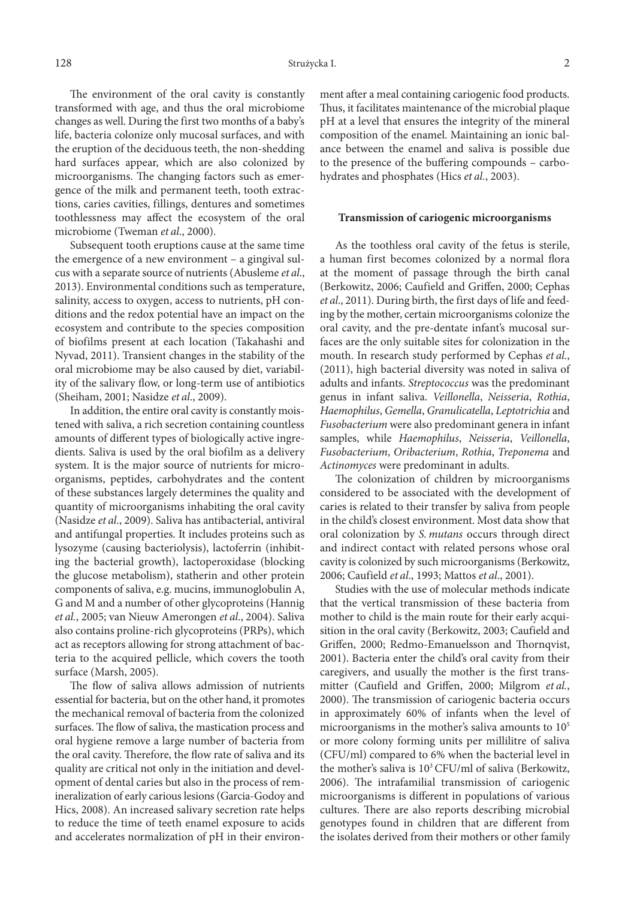The environment of the oral cavity is constantly transformed with age, and thus the oral microbiome changes as well. During the first two months of a baby's life, bacteria colonize only mucosal surfaces, and with the eruption of the deciduous teeth, the non-shedding hard surfaces appear, which are also colonized by microorganisms. The changing factors such as emergence of the milk and permanent teeth, tooth extractions, caries cavities, fillings, dentures and sometimes toothlessness may affect the ecosystem of the oral microbiome (Tweman *et al*., 2000).

Subsequent tooth eruptions cause at the same time the emergence of a new environment – a gingival sulcus with a separate source of nutrients (Abusleme *et al*., 2013). Environmental conditions such as temperature, salinity, access to oxygen, access to nutrients, pH conditions and the redox potential have an impact on the ecosystem and contribute to the species composition of biofilms present at each location (Takahashi and Nyvad, 2011). Transient changes in the stability of the oral microbiome may be also caused by diet, variability of the salivary flow, or long-term use of antibiotics (Sheiham, 2001; Nasidze *et al*., 2009).

In addition, the entire oral cavity is constantly moistened with saliva, a rich secretion containing countless amounts of different types of biologically active ingredients. Saliva is used by the oral biofilm as a delivery system. It is the major source of nutrients for microorganisms, peptides, carbohydrates and the content of these substances largely determines the quality and quantity of microorganisms inhabiting the oral cavity (Nasidze *et al*., 2009). Saliva has antibacterial, antiviral and antifungal properties. It includes proteins such as lysozyme (causing bacteriolysis), lactoferrin (inhibiting the bacterial growth), lactoperoxidase (blocking the glucose metabolism), statherin and other protein components of saliva, e.g. mucins, immunoglobulin A, G and M and a number of other glycoproteins (Hannig *et al.*, 2005; van Nieuw Amerongen *et al*., 2004). Saliva also contains proline-rich glycoproteins (PRPs), which act as receptors allowing for strong attachment of bacteria to the acquired pellicle, which covers the tooth surface (Marsh, 2005).

The flow of saliva allows admission of nutrients essential for bacteria, but on the other hand, it promotes the mechanical removal of bacteria from the colonized surfaces. The flow of saliva, the mastication process and oral hygiene remove a large number of bacteria from the oral cavity. Therefore, the flow rate of saliva and its quality are critical not only in the initiation and development of dental caries but also in the process of remineralization of early carious lesions (Garcia-Godoy and Hics, 2008). An increased salivary secretion rate helps to reduce the time of teeth enamel exposure to acids and accelerates normalization of pH in their environment after a meal containing cariogenic food products. Thus, it facilitates maintenance of the microbial plaque pH at a level that ensures the integrity of the mineral composition of the enamel. Maintaining an ionic balance between the enamel and saliva is possible due to the presence of the buffering compounds – carbohydrates and phosphates (Hics *et al.*, 2003).

### **Transmission of cariogenic microorganisms**

As the toothless oral cavity of the fetus is sterile, a human first becomes colonized by a normal flora at the moment of passage through the birth canal (Berkowitz, 2006; Caufield and Griffen, 2000; Cephas *et al*., 2011). During birth, the first days of life and feeding by the mother, certain microorganisms colonize the oral cavity, and the pre-dentate infant's mucosal surfaces are the only suitable sites for colonization in the mouth. In research study performed by Cephas *et al.*, (2011), high bacterial diversity was noted in saliva of adults and infants. *Streptococcus* was the predominant genus in infant saliva. *Veillonella*, *Neisseria*, *Rothia*, *Haemophilus*, *Gemella*, *Granulicatella*, *Leptotrichia* and *Fusobacterium* were also predominant genera in infant samples, while *Haemophilus*, *Neisseria*, *Veillonella*, *Fusobacterium*, *Oribacterium*, *Rothia*, *Treponema* and *Actinomyces* were predominant in adults.

The colonization of children by microorganisms considered to be associated with the development of caries is related to their transfer by saliva from people in the child's closest environment. Most data show that oral colonization by *S. mutans* occurs through direct and indirect contact with related persons whose oral cavity is colonized by such microorganisms (Berkowitz, 2006; Caufield *et al*., 1993; Mattos *et al*., 2001).

Studies with the use of molecular methods indicate that the vertical transmission of these bacteria from mother to child is the main route for their early acquisition in the oral cavity (Berkowitz, 2003; Caufield and Griffen, 2000; Redmo-Emanuelsson and Thornqvist, 2001). Bacteria enter the child's oral cavity from their caregivers, and usually the mother is the first transmitter (Caufield and Griffen, 2000; Milgrom *et al.*, 2000). The transmission of cariogenic bacteria occurs in approximately 60% of infants when the level of microorganisms in the mother's saliva amounts to 105 or more colony forming units per millilitre of saliva (CFU/ml) compared to 6% when the bacterial level in the mother's saliva is  $10^3$  CFU/ml of saliva (Berkowitz, 2006). The intrafamilial transmission of cariogenic microorganisms is different in populations of various cultures. There are also reports describing microbial genotypes found in children that are different from the isolates derived from their mothers or other family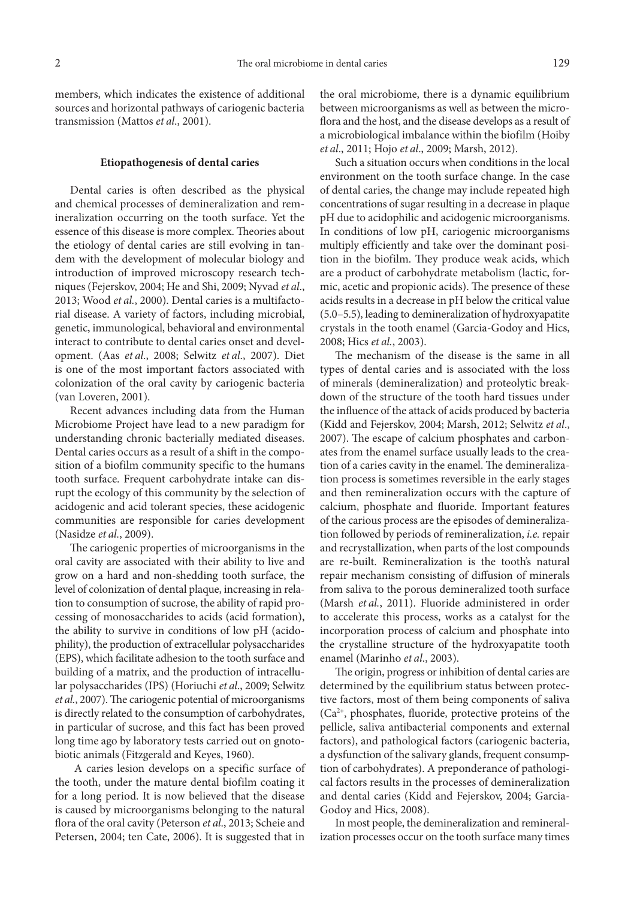members, which indicates the existence of additional sources and horizontal pathways of cariogenic bacteria transmission (Mattos *et al*., 2001).

# **Etiopathogenesis of dental caries**

Dental caries is often described as the physical and chemical processes of demineralization and remineralization occurring on the tooth surface. Yet the essence of this disease is more complex. Theories about the etiology of dental caries are still evolving in tandem with the development of molecular biology and introduction of improved microscopy research techniques (Fejerskov, 2004; He and Shi, 2009; Nyvad *et al*., 2013; Wood *et al.*, 2000). Dental caries is a multifactorial disease. A variety of factors, including microbial, genetic, immunological, behavioral and environmental interact to contribute to dental caries onset and development. (Aas *et al*., 2008; Selwitz *et al*., 2007). Diet is one of the most important factors associated with colonization of the oral cavity by cariogenic bacteria (van Loveren, 2001).

Recent advances including data from the Human Microbiome Project have lead to a new paradigm for understanding chronic bacterially mediated diseases. Dental caries occurs as a result of a shift in the composition of a biofilm community specific to the humans tooth surface. Frequent carbohydrate intake can disrupt the ecology of this community by the selection of acidogenic and acid tolerant species, these acidogenic communities are responsible for caries development (Nasidze *et al.*, 2009).

The cariogenic properties of microorganisms in the oral cavity are associated with their ability to live and grow on a hard and non-shedding tooth surface, the level of colonization of dental plaque, increasing in relation to consumption of sucrose, the ability of rapid processing of monosaccharides to acids (acid formation), the ability to survive in conditions of low pH (acidophility), the production of extracellular polysaccharides (EPS), which facilitate adhesion to the tooth surface and building of a matrix, and the production of intracellular polysaccharides (IPS) (Horiuchi *et al*., 2009; Selwitz *et al.*, 2007). The cariogenic potential of microorganisms is directly related to the consumption of carbohydrates, in particular of sucrose, and this fact has been proved long time ago by laboratory tests carried out on gnotobiotic animals (Fitzgerald and Keyes, 1960).

 A caries lesion develops on a specific surface of the tooth, under the mature dental biofilm coating it for a long period. It is now believed that the disease is caused by microorganisms belonging to the natural flora of the oral cavity (Peterson *et al*., 2013; Scheie and Petersen, 2004; ten Cate, 2006). It is suggested that in

the oral microbiome, there is a dynamic equilibrium between microorganisms as well as between the microflora and the host, and the disease develops as a result of a microbiological imbalance within the biofilm (Hoiby *et al*., 2011; Hojo *et al*., 2009; Marsh, 2012).

Such a situation occurs when conditions in the local environment on the tooth surface change. In the case of dental caries, the change may include repeated high concentrations of sugar resulting in a decrease in plaque pH due to acidophilic and acidogenic microorganisms. In conditions of low pH, cariogenic microorganisms multiply efficiently and take over the dominant position in the biofilm. They produce weak acids, which are a product of carbohydrate metabolism (lactic, formic, acetic and propionic acids). The presence of these acids results in a decrease in pH below the critical value (5.0–5.5), leading to demineralization of hydroxyapatite crystals in the tooth enamel (Garcia-Godoy and Hics, 2008; Hics *et al.*, 2003).

The mechanism of the disease is the same in all types of dental caries and is associated with the loss of minerals (demineralization) and proteolytic breakdown of the structure of the tooth hard tissues under the influence of the attack of acids produced by bacteria (Kidd and Fejerskov, 2004; Marsh, 2012; Selwitz *et al*., 2007). The escape of calcium phosphates and carbonates from the enamel surface usually leads to the creation of a caries cavity in the enamel. The demineralization process is sometimes reversible in the early stages and then remineralization occurs with the capture of calcium, phosphate and fluoride. Important features of the carious process are the episodes of demineralization followed by periods of remineralization, *i.e.* repair and recrystallization, when parts of the lost compounds are re-built. Remineralization is the tooth's natural repair mechanism consisting of diffusion of minerals from saliva to the porous demineralized tooth surface (Marsh *et al.*, 2011). Fluoride administered in order to accelerate this process, works as a catalyst for the incorporation process of calcium and phosphate into the crystalline structure of the hydroxyapatite tooth enamel (Marinho *et al*., 2003).

The origin, progress or inhibition of dental caries are determined by the equilibrium status between protective factors, most of them being components of saliva (Ca2+, phosphates, fluoride, protective proteins of the pellicle, saliva antibacterial components and external factors), and pathological factors (cariogenic bacteria, a dysfunction of the salivary glands, frequent consumption of carbohydrates). A preponderance of pathological factors results in the processes of demineralization and dental caries (Kidd and Fejerskov, 2004; Garcia-Godoy and Hics, 2008).

In most people, the demineralization and remineralization processes occur on the tooth surface many times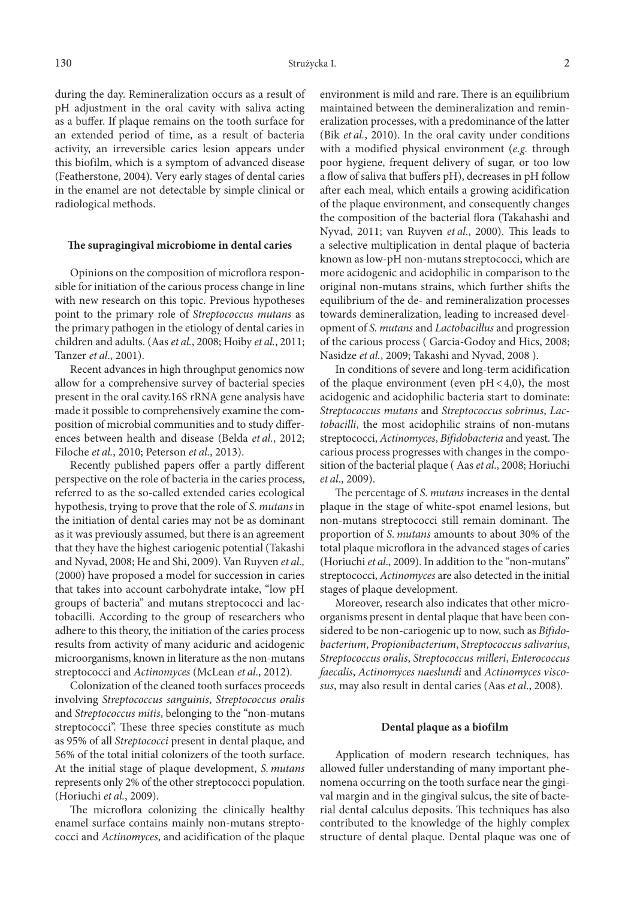130 Strużycka I. 2

during the day. Remineralization occurs as a result of pH adjustment in the oral cavity with saliva acting as a buffer. If plaque remains on the tooth surface for an extended period of time, as a result of bacteria activity, an irreversible caries lesion appears under this biofilm, which is a symptom of advanced disease (Featherstone, 2004). Very early stages of dental caries in the enamel are not detectable by simple clinical or radiological methods.

#### **The supragingival microbiome in dental caries**

Opinions on the composition of microflora responsible for initiation of the carious process change in line with new research on this topic. Previous hypotheses point to the primary role of *Streptococcus mutans* as the primary pathogen in the etiology of dental caries in children and adults. (Aas *et al.*, 2008; Hoiby *et al.*, 2011; Tanzer *et al*., 2001).

Recent advances in high throughput genomics now allow for a comprehensive survey of bacterial species present in the oral cavity.16S rRNA gene analysis have made it possible to comprehensively examine the composition of microbial communities and to study differences between health and disease (Belda *et al.*, 2012; Filoche *et al.*, 2010; Peterson *et al.*, 2013).

Recently published papers offer a partly different perspective on the role of bacteria in the caries process, referred to as the so-called extended caries ecological hypothesis, trying to prove that the role of *S. mutans* in the initiation of dental caries may not be as dominant as it was previously assumed, but there is an agreement that they have the highest cariogenic potential (Takashi and Nyvad, 2008; He and Shi, 2009). Van Ruyven *et al.,* (2000) have proposed a model for succession in caries that takes into account carbohydrate intake, "low pH groups of bacteria" and mutans streptococci and lactobacilli. According to the group of researchers who adhere to this theory, the initiation of the caries process results from activity of many aciduric and acidogenic microorganisms, known in literature as the non-mutans streptococci and *Actinomyces* (McLean *et al*., 2012)*.*

Colonization of the cleaned tooth surfaces proceeds involving *Streptococcus sanguinis*, *Streptococcus oralis*  and *Streptococcus mitis*, belonging to the "non-mutans streptococci". These three species constitute as much as 95% of all *Streptococci* present in dental plaque, and 56% of the total initial colonizers of the tooth surface. At the initial stage of plaque development, *S. mutans* represents only 2% of the other streptococci population. (Horiuchi *et al.*, 2009).

The microflora colonizing the clinically healthy enamel surface contains mainly non-mutans streptococci and *Actinomyces*, and acidification of the plaque

environment is mild and rare. There is an equilibrium maintained between the demineralization and remineralization processes, with a predominance of the latter (Bik *et al.*, 2010). In the oral cavity under conditions with a modified physical environment (*e.g.* through poor hygiene, frequent delivery of sugar, or too low a flow of saliva that buffers pH), decreases in pH follow after each meal, which entails a growing acidification of the plaque environment, and consequently changes the composition of the bacterial flora (Takahashi and Nyvad, 2011; van Ruyven *et al*., 2000). This leads to a selective multiplication in dental plaque of bacteria known as low-pH non-mutans streptococci, which are more acidogenic and acidophilic in comparison to the original non-mutans strains, which further shifts the equilibrium of the de- and remineralization processes towards demineralization, leading to increased development of *S. mutans* and *Lactobacillus* and progression of the carious process ( Garcia-Godoy and Hics, 2008; Nasidze *et al.*, 2009; Takashi and Nyvad, 2008 ).

In conditions of severe and long-term acidification of the plaque environment (even  $pH < 4,0$ ), the most acidogenic and acidophilic bacteria start to dominate: *Streptococcus mutans* and *Streptococcus sobrinus*, *Lactobacilli*, the most acidophilic strains of non-mutans streptococci, *Actinomyces*, *Bifidobacteria* and yeast. The carious process progresses with changes in the composition of the bacterial plaque ( Aas *et al*., 2008; Horiuchi *et al*., 2009).

The percentage of *S. mutans* increases in the dental plaque in the stage of white-spot enamel lesions, but non-mutans streptococci still remain dominant. The proportion of *S. mutans* amounts to about 30% of the total plaque microflora in the advanced stages of caries (Horiuchi *et al*., 2009). In addition to the "non-mutans" streptococci, *Actinomyces* are also detected in the initial stages of plaque development.

Moreover, research also indicates that other microorganisms present in dental plaque that have been considered to be non-cariogenic up to now, such as *Bifidobacterium*, *Propionibacterium*, *Streptococcus salivarius*, *Streptococcus oralis*, *Streptococcus milleri*, *Enterococcus faecalis*, *Actinomyces naeslundi* and *Actinomyces viscosus*, may also result in dental caries (Aas *et al*., 2008).

# **Dental plaque as a biofilm**

Application of modern research techniques, has allowed fuller understanding of many important phenomena occurring on the tooth surface near the gingival margin and in the gingival sulcus, the site of bacterial dental calculus deposits. This techniques has also contributed to the knowledge of the highly complex structure of dental plaque. Dental plaque was one of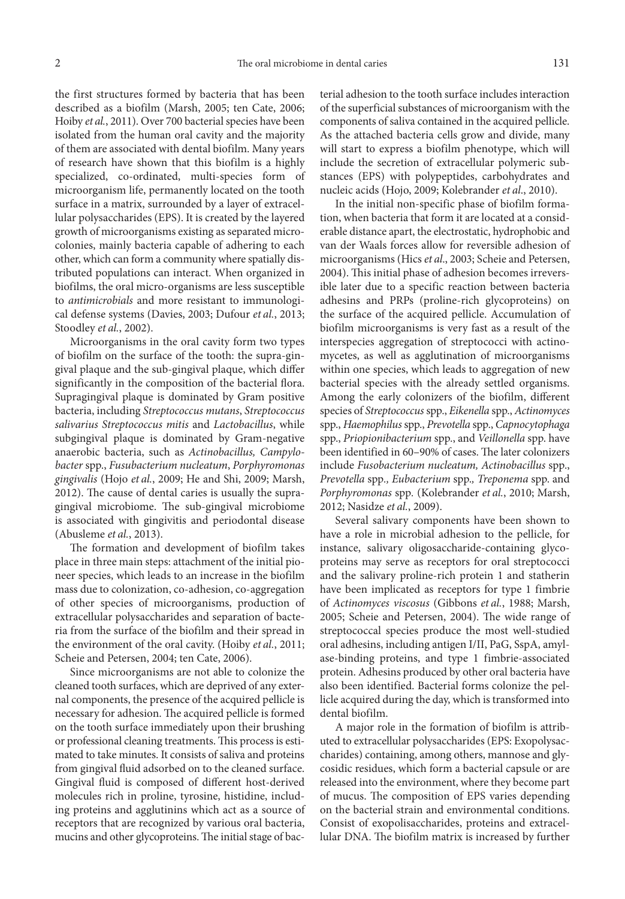the first structures formed by bacteria that has been described as a biofilm (Marsh, 2005; ten Cate, 2006; Hoiby *et al.*, 2011). Over 700 bacterial species have been isolated from the human oral cavity and the majority of them are associated with dental biofilm. Many years of research have shown that this biofilm is a highly specialized, co-ordinated, multi-species form of microorganism life, permanently located on the tooth surface in a matrix, surrounded by a layer of extracellular polysaccharides (EPS). It is created by the layered growth of microorganisms existing as separated microcolonies, mainly bacteria capable of adhering to each other, which can form a community where spatially distributed populations can interact. When organized in biofilms, the oral micro-organisms are less susceptible to *antimicrobials* and more resistant to immunological defense systems (Davies, 2003; Dufour *et al.*, 2013; Stoodley *et al.*, 2002).

Microorganisms in the oral cavity form two types of biofilm on the surface of the tooth: the supra-gingival plaque and the sub-gingival plaque, which differ significantly in the composition of the bacterial flora. Supragingival plaque is dominated by Gram positive bacteria, including *Streptococcus mutans*, *Streptococcus salivarius Streptococcus mitis* and *Lactobacillus*, while subgingival plaque is dominated by Gram-negative anaerobic bacteria, such as *Actinobacillus, Campylobacter* spp., *Fusubacterium nucleatum*, *Porphyromonas gingivalis* (Hojo *et al.*, 2009; He and Shi, 2009; Marsh, 2012). The cause of dental caries is usually the supragingival microbiome. The sub-gingival microbiome is associated with gingivitis and periodontal disease (Abusleme *et al.*, 2013).

The formation and development of biofilm takes place in three main steps: attachment of the initial pioneer species, which leads to an increase in the biofilm mass due to colonization, co-adhesion, co-aggregation of other species of microorganisms, production of extracellular polysaccharides and separation of bacteria from the surface of the biofilm and their spread in the environment of the oral cavity. (Hoiby *et al.*, 2011; Scheie and Petersen, 2004; ten Cate, 2006).

Since microorganisms are not able to colonize the cleaned tooth surfaces, which are deprived of any external components, the presence of the acquired pellicle is necessary for adhesion. The acquired pellicle is formed on the tooth surface immediately upon their brushing or professional cleaning treatments. This process is estimated to take minutes. It consists of saliva and proteins from gingival fluid adsorbed on to the cleaned surface. Gingival fluid is composed of different host-derived molecules rich in proline, tyrosine, histidine, including proteins and agglutinins which act as a source of receptors that are recognized by various oral bacteria, mucins and other glycoproteins. The initial stage of bacterial adhesion to the tooth surface includes interaction of the superficial substances of microorganism with the components of saliva contained in the acquired pellicle. As the attached bacteria cells grow and divide, many will start to express a biofilm phenotype, which will include the secretion of extracellular polymeric substances (EPS) with polypeptides, carbohydrates and nucleic acids (Hojo, 2009; Kolebrander *et al*., 2010).

In the initial non-specific phase of biofilm formation, when bacteria that form it are located at a considerable distance apart, the electrostatic, hydrophobic and van der Waals forces allow for reversible adhesion of microorganisms (Hics *et al*., 2003; Scheie and Petersen, 2004). This initial phase of adhesion becomes irreversible later due to a specific reaction between bacteria adhesins and PRPs (proline-rich glycoproteins) on the surface of the acquired pellicle. Accumulation of biofilm microorganisms is very fast as a result of the interspecies aggregation of streptococci with actinomycetes, as well as agglutination of microorganisms within one species, which leads to aggregation of new bacterial species with the already settled organisms. Among the early colonizers of the biofilm, different species of *Streptococcus* spp., *Eikenella* spp., *Actinomyces*  spp., *Haemophilus* spp., *Prevotella* spp., *Capnocytophaga*  spp., *Priopionibacterium* spp., and *Veillonella* spp. have been identified in 60–90% of cases. The later colonizers include *Fusobacterium nucleatum, Actinobacillus* spp., *Prevotella* spp*., Eubacterium* spp.*, Treponema* spp. and *Porphyromonas* spp*.* (Kolebrander *et al.*, 2010; Marsh, 2012; Nasidze *et al.*, 2009).

Several salivary components have been shown to have a role in microbial adhesion to the pellicle, for instance, salivary oligosaccharide-containing glycoproteins may serve as receptors for oral streptococci and the salivary proline-rich protein 1 and statherin have been implicated as receptors for type 1 fimbrie of *Actinomyces viscosus* (Gibbons *et al.*, 1988; Marsh, 2005; Scheie and Petersen, 2004). The wide range of streptococcal species produce the most well-studied oral adhesins, including antigen I/II, PaG, SspA, amylase-binding proteins, and type 1 fimbrie-associated protein. Adhesins produced by other oral bacteria have also been identified. Bacterial forms colonize the pellicle acquired during the day, which is transformed into dental biofilm.

A major role in the formation of biofilm is attributed to extracellular polysaccharides (EPS: Exopolysaccharides) containing, among others, mannose and glycosidic residues, which form a bacterial capsule or are released into the environment, where they become part of mucus. The composition of EPS varies depending on the bacterial strain and environmental conditions. Consist of exopolisaccharides, proteins and extracellular DNA. The biofilm matrix is increased by further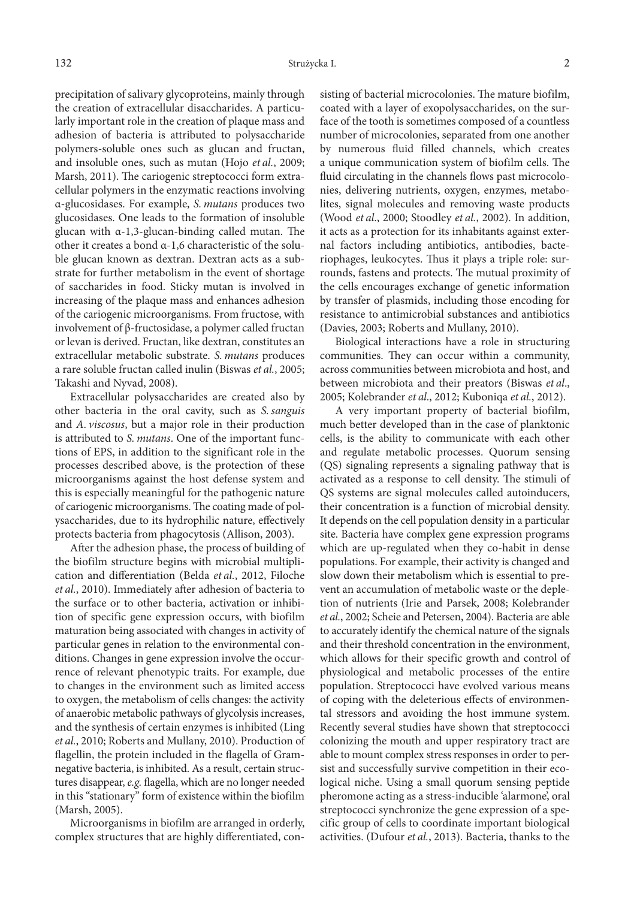precipitation of salivary glycoproteins, mainly through the creation of extracellular disaccharides. A particularly important role in the creation of plaque mass and adhesion of bacteria is attributed to polysaccharide polymers-soluble ones such as glucan and fructan, and insoluble ones, such as mutan (Hojo *et al.*, 2009; Marsh, 2011). The cariogenic streptococci form extracellular polymers in the enzymatic reactions involving α-glucosidases. For example, *S. mutans* produces two glucosidases. One leads to the formation of insoluble glucan with α-1,3-glucan-binding called mutan. The other it creates a bond α-1,6 characteristic of the soluble glucan known as dextran. Dextran acts as a substrate for further metabolism in the event of shortage of saccharides in food. Sticky mutan is involved in increasing of the plaque mass and enhances adhesion of the cariogenic microorganisms. From fructose, with involvement of β-fructosidase, a polymer called fructan or levan is derived. Fructan, like dextran, constitutes an extracellular metabolic substrate. *S. mutans* produces a rare soluble fructan called inulin (Biswas *et al.*, 2005; Takashi and Nyvad, 2008).

Extracellular polysaccharides are created also by other bacteria in the oral cavity, such as *S.sanguis* and *A. viscosus*, but a major role in their production is attributed to *S. mutans*. One of the important functions of EPS, in addition to the significant role in the processes described above, is the protection of these microorganisms against the host defense system and this is especially meaningful for the pathogenic nature of cariogenic microorganisms. The coating made of polysaccharides, due to its hydrophilic nature, effectively protects bacteria from phagocytosis (Allison, 2003).

After the adhesion phase, the process of building of the biofilm structure begins with microbial multiplication and differentiation (Belda *et al.*, 2012, Filoche *et al.*, 2010). Immediately after adhesion of bacteria to the surface or to other bacteria, activation or inhibition of specific gene expression occurs, with biofilm maturation being associated with changes in activity of particular genes in relation to the environmental conditions. Changes in gene expression involve the occurrence of relevant phenotypic traits. For example, due to changes in the environment such as limited access to oxygen, the metabolism of cells changes: the activity of anaerobic metabolic pathways of glycolysis increases, and the synthesis of certain enzymes is inhibited (Ling *et al.*, 2010; Roberts and Mullany, 2010). Production of flagellin, the protein included in the flagella of Gramnegative bacteria, is inhibited. As a result, certain structures disappear, *e.g.* flagella, which are no longer needed in this "stationary" form of existence within the biofilm (Marsh, 2005).

Microorganisms in biofilm are arranged in orderly, complex structures that are highly differentiated, consisting of bacterial microcolonies. The mature biofilm, coated with a layer of exopolysaccharides, on the surface of the tooth is sometimes composed of a countless number of microcolonies, separated from one another by numerous fluid filled channels, which creates a unique communication system of biofilm cells. The fluid circulating in the channels flows past microcolonies, delivering nutrients, oxygen, enzymes, metabolites, signal molecules and removing waste products (Wood *et al*., 2000; Stoodley *et al.*, 2002). In addition, it acts as a protection for its inhabitants against external factors including antibiotics, antibodies, bacteriophages, leukocytes. Thus it plays a triple role: surrounds, fastens and protects. The mutual proximity of the cells encourages exchange of genetic information by transfer of plasmids, including those encoding for resistance to antimicrobial substances and antibiotics (Davies, 2003; Roberts and Mullany, 2010).

Biological interactions have a role in structuring communities. They can occur within a community, across communities between microbiota and host, and between microbiota and their preators (Biswas *et al*., 2005; Kolebrander *et al*., 2012; Kuboniqa *et al.*, 2012).

A very important property of bacterial biofilm, much better developed than in the case of planktonic cells, is the ability to communicate with each other and regulate metabolic processes. Quorum sensing (QS) signaling represents a signaling pathway that is activated as a response to cell density. The stimuli of QS systems are signal molecules called autoinducers, their concentration is a function of microbial density. It depends on the cell population density in a particular site. Bacteria have complex gene expression programs which are up-regulated when they co-habit in dense populations. For example, their activity is changed and slow down their metabolism which is essential to prevent an accumulation of metabolic waste or the depletion of nutrients (Irie and Parsek, 2008; Kolebrander *et al.*, 2002; Scheie and Petersen, 2004). Bacteria are able to accurately identify the chemical nature of the signals and their threshold concentration in the environment, which allows for their specific growth and control of physiological and metabolic processes of the entire population. Streptococci have evolved various means of coping with the deleterious effects of environmental stressors and avoiding the host immune system. Recently several studies have shown that streptococci colonizing the mouth and upper respiratory tract are able to mount complex stress responses in order to persist and successfully survive competition in their ecological niche. Using a small quorum sensing peptide pheromone acting as a stress-inducible 'alarmone', oral streptococci synchronize the gene expression of a specific group of cells to coordinate important biological activities. (Dufour *et al.*, 2013). Bacteria, thanks to the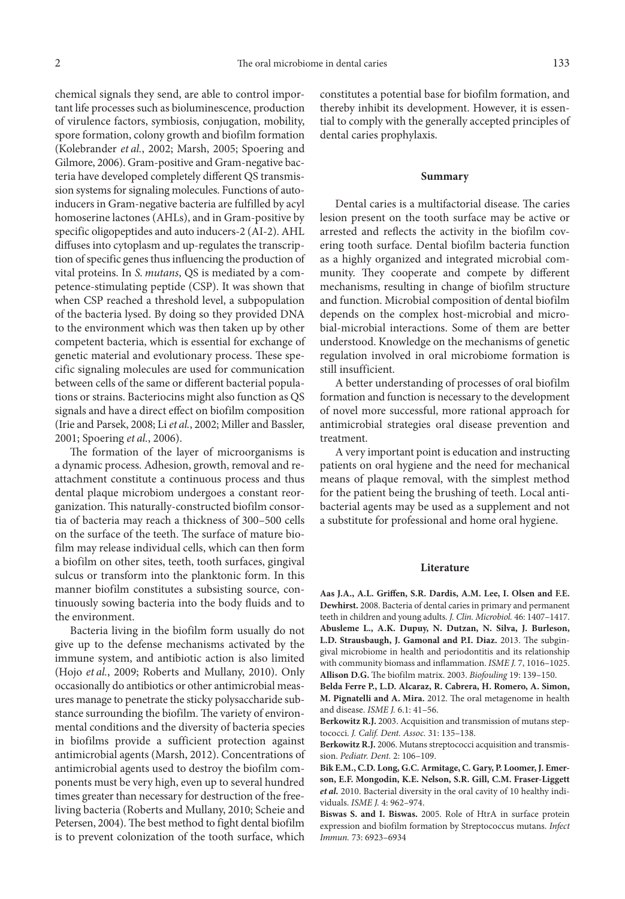chemical signals they send, are able to control important life processes such as bioluminescence, production of virulence factors, symbiosis, conjugation, mobility, spore formation, colony growth and biofilm formation (Kolebrander *et al.*, 2002; Marsh, 2005; Spoering and Gilmore, 2006). Gram-positive and Gram-negative bacteria have developed completely different QS transmission systems for signaling molecules. Functions of autoinducers in Gram-negative bacteria are fulfilled by acyl homoserine lactones (AHLs), and in Gram-positive by specific oligopeptides and auto inducers-2 (AI-2). AHL diffuses into cytoplasm and up-regulates the transcription of specific genes thus influencing the production of vital proteins. In *S. mutans*, QS is mediated by a competence-stimulating peptide (CSP). It was shown that when CSP reached a threshold level, a subpopulation of the bacteria lysed. By doing so they provided DNA to the environment which was then taken up by other competent bacteria, which is essential for exchange of genetic material and evolutionary process. These specific signaling molecules are used for communication between cells of the same or different bacterial populations or strains. Bacteriocins might also function as QS signals and have a direct effect on biofilm composition (Irie and Parsek, 2008; Li *et al.*, 2002; Miller and Bassler, 2001; Spoering *et al.*, 2006).

The formation of the layer of microorganisms is a dynamic process. Adhesion, growth, removal and reattachment constitute a continuous process and thus dental plaque microbiom undergoes a constant reorganization. This naturally-constructed biofilm consortia of bacteria may reach a thickness of 300–500 cells on the surface of the teeth. The surface of mature biofilm may release individual cells, which can then form a biofilm on other sites, teeth, tooth surfaces, gingival sulcus or transform into the planktonic form. In this manner biofilm constitutes a subsisting source, continuously sowing bacteria into the body fluids and to the environment.

Bacteria living in the biofilm form usually do not give up to the defense mechanisms activated by the immune system, and antibiotic action is also limited (Hojo *et al.*, 2009; Roberts and Mullany, 2010). Only occasionally do antibiotics or other antimicrobial measures manage to penetrate the sticky polysaccharide substance surrounding the biofilm. The variety of environmental conditions and the diversity of bacteria species in biofilms provide a sufficient protection against antimicrobial agents (Marsh, 2012). Concentrations of antimicrobial agents used to destroy the biofilm components must be very high, even up to several hundred times greater than necessary for destruction of the freeliving bacteria (Roberts and Mullany, 2010; Scheie and Petersen, 2004). The best method to fight dental biofilm is to prevent colonization of the tooth surface, which

constitutes a potential base for biofilm formation, and thereby inhibit its development. However, it is essential to comply with the generally accepted principles of dental caries prophylaxis.

### **Summary**

Dental caries is a multifactorial disease. The caries lesion present on the tooth surface may be active or arrested and reflects the activity in the biofilm covering tooth surface. Dental biofilm bacteria function as a highly organized and integrated microbial community. They cooperate and compete by different mechanisms, resulting in change of biofilm structure and function. Microbial composition of dental biofilm depends on the complex host-microbial and microbial-microbial interactions. Some of them are better understood. Knowledge on the mechanisms of genetic regulation involved in oral microbiome formation is still insufficient.

A better understanding of processes of oral biofilm formation and function is necessary to the development of novel more successful, more rational approach for antimicrobial strategies oral disease prevention and treatment.

A very important point is education and instructing patients on oral hygiene and the need for mechanical means of plaque removal, with the simplest method for the patient being the brushing of teeth. Local antibacterial agents may be used as a supplement and not a substitute for professional and home oral hygiene.

#### **Literature**

**Aas J.A., A.L. Griffen, S.R. Dardis, A.M. Lee, I. Olsen and F.E. Dewhirst.** 2008. Bacteria of dental caries in primary and permanent teeth in children and young adults. *J. Clin. Microbiol.* 46: 1407–1417. **Abusleme L., A.K. Dupuy, N. Dutzan, N. Silva, J. Burleson, L.D. Strausbaugh, J. Gamonal and P.I. Diaz.** 2013. The subgingival microbiome in health and periodontitis and its relationship with community biomass and inflammation. *ISME J.* 7, 1016–1025. **Allison D.G.** The biofilm matrix. 2003. *Biofouling* 19: 139–150.

**Belda Ferre P., L.D. Alcaraz, R. Cabrera, H. Romero, A. Simon, M. Pignatelli and A. Mira.** 2012. The oral metagenome in health and disease. *ISME J.* 6.1: 41–56.

**Berkowitz R.J.** 2003. Acquisition and transmission of mutans steptococci. *J. Calif. Dent. Assoc.* 31: 135–138.

**Berkowitz R.J.** 2006. Mutans streptococci acquisition and transmission. *Pediatr. Dent.* 2: 106–109.

**Bik E.M., C.D. Long, G.C. Armitage, C. Gary, P. Loomer, J. Emerson, E.F. Mongodin, K.E. Nelson, S.R. Gill, C.M. Fraser-Liggett**  *et al.* 2010. Bacterial diversity in the oral cavity of 10 healthy individuals. *ISME J.* 4: 962–974.

**Biswas S. and I. Biswas.** 2005. Role of HtrA in surface protein expression and biofilm formation by Streptococcus mutans. *Infect Immun.* 73: 6923–6934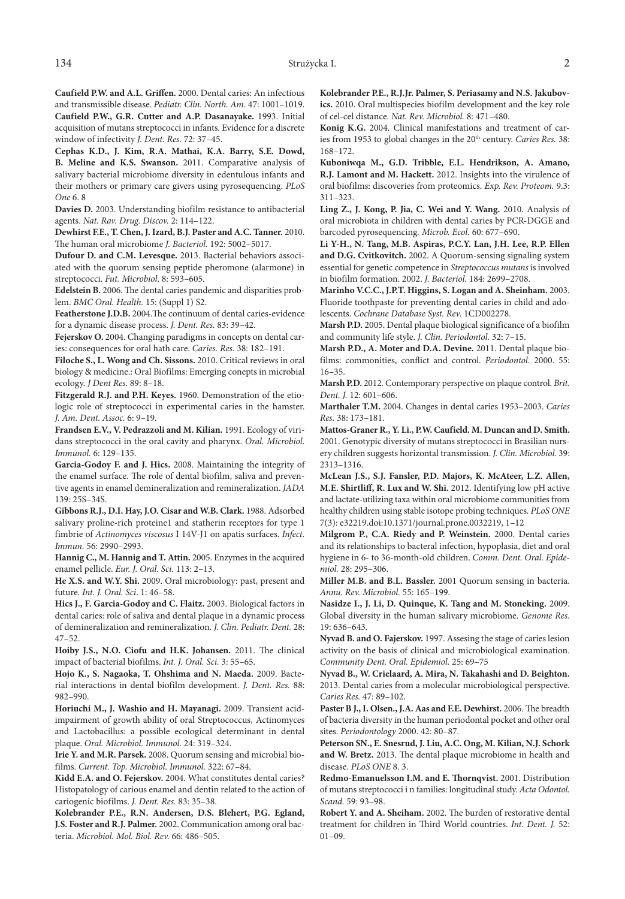**Caufield P.W. and A.L. Griffen.** 2000. Dental caries: An infectious and transmissible disease. *Pediatr. Clin. North. Am.* 47: 1001–1019. **Caufield P.W., G.R. Cutter and A.P. Dasanayake.** 1993. Initial acquisition of mutans streptococci in infants. Evidence for a discrete window of infectivity *J. Dent. Res.* 72: 37–45.

**Cephas K.D., J. Kim, R.A. Mathai, K.A. Barry, S.E. Dowd, B. Meline and K.S. Swanson.** 2011. Comparative analysis of salivary bacterial microbiome diversity in edentulous infants and their mothers or primary care givers using pyrosequencing. *PLoS One* 6. 8

**Davies D.** 2003. Understanding biofilm resistance to antibacterial agents. *Nat. Rav. Drug. Discov.* 2: 114–122.

**Dewhirst F.E., T. Chen, J. Izard, B.J. Paster and A.C. Tanner.** 2010. The human oral microbiome *J. Bacteriol.* 192: 5002–5017.

**Dufour D. and C.M. Levesque.** 2013. Bacterial behaviors associated with the quorum sensing peptide pheromone (alarmone) in streptococci. *Fut. Microbiol*. 8: 593–605.

**Edelstein B.** 2006. The dental caries pandemic and disparities problem. *BMC Oral. Health.* 15: (Suppl 1) S2.

**Featherstone J.D.B.** 2004.The continuum of dental caries-evidence for a dynamic disease process. *J. Dent. Res.* 83: 39–42.

**Fejerskov O.** 2004. Changing paradigms in concepts on dental caries: consequences for oral hath care. *Caries. Res.* 38: 182–191.

**Filoche S., L. Wong and Ch. Sissons.** 2010. Critical reviews in oral biology & medicine.: Oral Biofilms: Emerging conepts in microbial ecology. *J Dent Res*. 89: 8–18.

**Fitzgerald R.J. and P.H. Keyes.** 1960. Demonstration of the etiologic role of streptococci in experimental caries in the hamster. *J. Am. Dent. Assoc.* 6: 9–19.

**Frandsen E.V., V. Pedrazzoli and M. Kilian.** 1991. Ecology of viridans streptococci in the oral cavity and pharynx. *Oral. Microbiol. Immunol.* 6: 129–135.

**Garcia-Godoy F. and J. Hics.** 2008. Maintaining the integrity of the enamel surface. The role of dental biofilm, saliva and preventive agents in enamel demineralization and remineralization. *JADA* 139: 25S–34S.

**Gibbons R.J., D.I. Hay, J.O. Cisar and W.B. Clark.** 1988. Adsorbed salivary proline-rich proteine1 and statherin receptors for type 1 fimbrie of *Actinomyces viscosus* I 14V-J1 on apatis surfaces. *Infect. Immun.* 56: 2990–2993.

**Hannig C., M. Hannig and T. Attin.** 2005. Enzymes in the acquired enamel pellicle. *Eur. J. Oral. Sci.* 113: 2–13.

**He X.S. and W.Y. Shi.** 2009. Oral microbiology: past, present and future*. Int. J. Oral. Sci*. 1: 46–58.

**Hics J., F. Garcia-Godoy and C. Flaitz.** 2003. Biological factors in dental caries: role of saliva and dental plaque in a dynamic process of demineralization and remineralization. *J. Clin. Pediatr. Dent.* 28: 47–52.

**Hoiby J.S., N.O. Ciofu and H.K. Johansen.** 2011. The clinical impact of bacterial biofilms. *Int. J. Oral. Sci.* 3: 55–65.

**Hojo K., S. Nagaoka, T. Ohshima and N. Maeda.** 2009. Bacterial interactions in dental biofilm development. *J. Dent. Res*. 88: 982–990.

**Horiuchi M., J. Washio and H. Mayanagi.** 2009. Transient acidimpairment of growth ability of oral Streptococcus, Actinomyces and Lactobacillus: a possible ecological determinant in dental plaque. *Oral. Microbiol. Immunol.* 24: 319–324.

**Irie Y. and M.R. Parsek.** 2008. Quorum sensing and microbial biofilms. *Current. Top. Microbiol. Immunol.* 322: 67–84.

**Kidd E.A. and O. Fejerskov.** 2004. What constitutes dental caries? Histopatology of carious enamel and dentin related to the action of cariogenic biofilms. *J. Dent. Res.* 83: 35–38.

**Kolebrander P.E., R.N. Andersen, D.S. Blehert, P.G. Egland, J.S. Foster and R.J. Palmer.** 2002. Communication among oral bacteria. *Microbiol. Mol. Biol. Rev.* 66: 486–505.

**Kolebrander P.E., R.J.Jr. Palmer, S. Periasamy and N.S. Jakubovics.** 2010. Oral multispecies biofilm development and the key role of cel-cel distance. *Nat. Rev. Microbiol.* 8: 471–480.

**Konig K.G.** 2004. Clinical manifestations and treatment of caries from 1953 to global changes in the 20<sup>th</sup> century. *Caries Res.* 38: 168–172.

**Kuboniwqa M., G.D. Tribble, E.L. Hendrikson, A. Amano, R.J. Lamont and M. Hackett.** 2012. Insights into the virulence of oral biofilms: discoveries from proteomics. *Exp. Rev. Proteom.* 9.3: 311–323.

**Ling Z., J. Kong, P. Jia, C. Wei and Y. Wang.** 2010. Analysis of oral microbiota in children with dental caries by PCR-DGGE and barcoded pyrosequencing*. Microb. Ecol.* 60: 677–690.

**Li Y-H., N. Tang, M.B. Aspiras, P.C.Y. Lan, J.H. Lee, R.P. Ellen and D.G. Cvitkovitch.** 2002. A Quorum-sensing signaling system essential for genetic competence in *Streptococcus mutans* is involved in biofilm formation. 2002. *J. Bacteriol.* 184: 2699–2708.

**Marinho V.C.C., J.P.T. Higgins, S. Logan and A. Sheinham.** 2003. Fluoride toothpaste for preventing dental caries in child and adolescents. *Cochrane Database Syst. Rev.* 1CD002278.

**Marsh P.D.** 2005. Dental plaque biological significance of a biofilm and community life style. *J. Clin. Periodontol.* 32: 7–15.

**Marsh P.D., A. Moter and D.A. Devine.** 2011. Dental plaque biofilms: commonities, conflict and control. *Periodontol.* 2000. 55: 16–35.

**Marsh P.D.** 2012. Contemporary perspective on plaque control. *Brit. Dent. J.* 12: 601–606.

**Marthaler T.M.** 2004. Changes in dental caries 1953–2003. *Caries Res.* 38: 173–181.

**Mattos-Graner R., Y. Li., P.W. Caufield. M. Duncan and D. Smith.** 2001. Genotypic diversity of mutans streptococci in Brasilian nursery children suggests horizontal transmission. *J. Clin. Microbiol.* 39: 2313–1316.

**McLean J.S., S.J. Fansler, P.D. Majors, K. McAteer, L.Z. Allen, M.E. Shirtliff, R. Lux and W. Shi.** 2012. Identifying low pH active and lactate-utilizing taxa within oral microbiome communities from healthy children using stable isotope probing techniques. *PLoS ONE* 7(3): e32219.doi:10.1371/journal.prone.0032219, 1–12

**Milgrom P., C.A. Riedy and P. Weinstein.** 2000. Dental caries and its relationships to bacteral infection, hypoplasia, diet and oral hygiene in 6- to 36-month-old children. *Comm. Dent. Oral. Epidemiol.* 28: 295–306.

**Miller M.B. and B.L. Bassler.** 2001 Quorum sensing in bacteria. *Annu. Rev. Microbiol.* 55: 165–199.

**Nasidze I., J. Li, D. Quinque, K. Tang and M. Stoneking.** 2009. Global diversity in the human salivary microbiome. *Genome Res.* 19: 636–643.

**Nyvad B. and O. Fajerskov.** 1997. Assesing the stage of caries lesion activity on the basis of clinical and microbiological examination. *Community Dent. Oral. Epidemiol.* 25: 69–75

**Nyvad B., W. Crielaard, A. Mira, N. Takahashi and D. Beighton.** 2013. Dental caries from a molecular microbiological perspective. *Caries Res.* 47: 89–102.

**Paster B J., I. Olsen., J.A. Aas and F.E. Dewhirst.** 2006. The breadth of bacteria diversity in the human periodontal pocket and other oral sites. *Periodontology* 2000. 42: 80–87.

**Peterson SN., E. Snesrud, J. Liu, A.C. Ong, M. Kilian, N.J. Schork and W. Bretz.** 2013. The dental plaque microbiome in health and disease. *PLoS ONE* 8. 3.

**Redmo-Emanuelsson I.M. and E. Thornqvist.** 2001. Distribution of mutans streptococci i n families: longitudinal study. *Acta Odontol. Scand.* 59: 93–98.

**Robert Y. and A. Sheiham.** 2002. The burden of restorative dental treatment for children in Third World countries. *Int. Dent. J.* 52: 01–09.